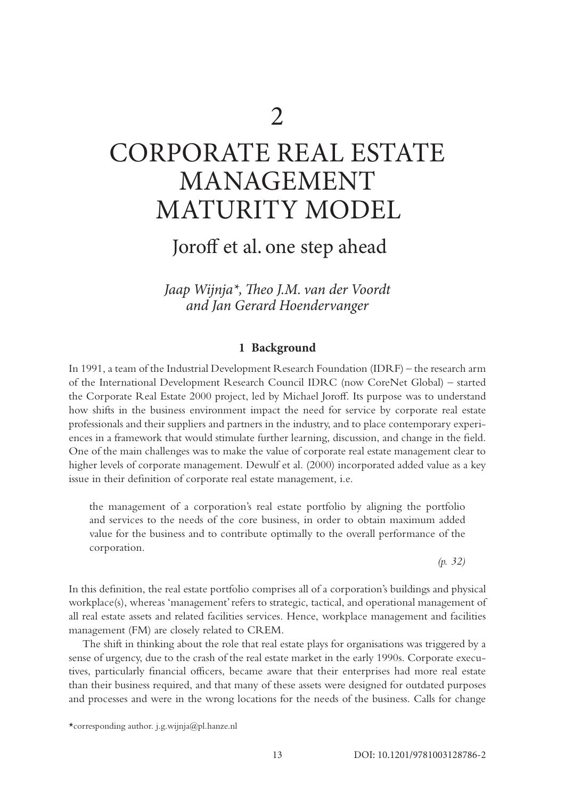# CORPORATE REAL ESTATE MANAGEMENT MATURITY MODEL

# Joroff et al. one step ahead

*Jaap Wijnja\*, Theo J.M. van der Voordt and Jan Gerard Hoendervanger*

### **1 Background**

In 1991, a team of the Industrial Development Research Foundation (IDRF) – the research arm of the International Development Research Council IDRC (now CoreNet Global) – started the Corporate Real Estate 2000 project, led by Michael Joroff. Its purpose was to understand how shifts in the business environment impact the need for service by corporate real estate professionals and their suppliers and partners in the industry, and to place contemporary experiences in a framework that would stimulate further learning, discussion, and change in the field. One of the main challenges was to make the value of corporate real estate management clear to higher levels of corporate management. Dewulf et al. (2000) incorporated added value as a key issue in their definition of corporate real estate management, i.e.

the management of a corporation's real estate portfolio by aligning the portfolio and services to the needs of the core business, in order to obtain maximum added value for the business and to contribute optimally to the overall performance of the corporation.

*(p. 32)*

In this definition, the real estate portfolio comprises all of a corporation's buildings and physical workplace(s), whereas 'management' refers to strategic, tactical, and operational management of all real estate assets and related facilities services. Hence, workplace management and facilities management (FM) are closely related to CREM.

The shift in thinking about the role that real estate plays for organisations was triggered by a sense of urgency, due to the crash of the real estate market in the early 1990s. Corporate executives, particularly financial officers, became aware that their enterprises had more real estate than their business required, and that many of these assets were designed for outdated purposes and processes and were in the wrong locations for the needs of the business. Calls for change

<sup>\*</sup>corresponding author[. j.g.wijnja@pl.hanze.nl](mailto:j.g.wijnja@pl.hanze.nl)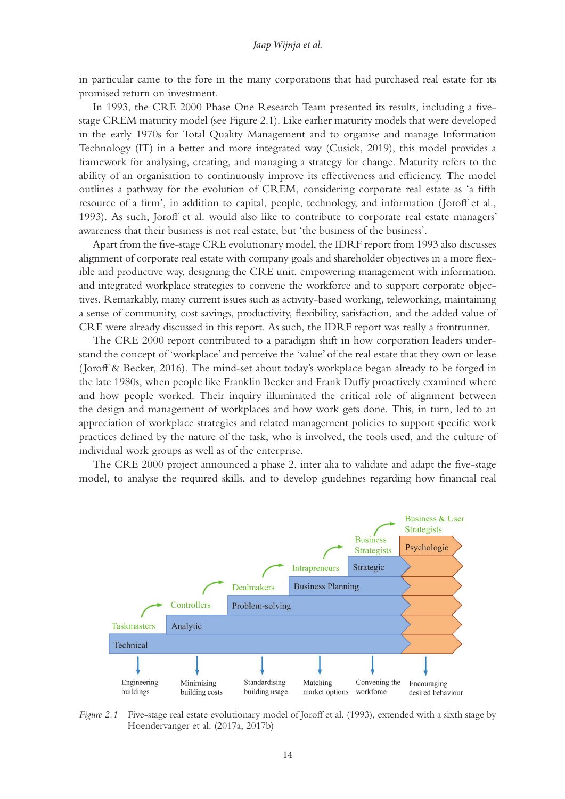in particular came to the fore in the many corporations that had purchased real estate for its promised return on investment.

In 1993, the CRE 2000 Phase One Research Team presented its results, including a fivestage CREM maturity model (see Figure 2.1). Like earlier maturity models that were developed in the early 1970s for Total Quality Management and to organise and manage Information Technology (IT) in a better and more integrated way (Cusick, 2019), this model provides a framework for analysing, creating, and managing a strategy for change. Maturity refers to the ability of an organisation to continuously improve its effectiveness and efficiency. The model outlines a pathway for the evolution of CREM, considering corporate real estate as 'a fifth resource of a firm', in addition to capital, people, technology, and information ( Joroff et al., 1993). As such, Joroff et al. would also like to contribute to corporate real estate managers' awareness that their business is not real estate, but 'the business of the business'.

Apart from the five-stage CRE evolutionary model, the IDRF report from 1993 also discusses alignment of corporate real estate with company goals and shareholder objectives in a more flexible and productive way, designing the CRE unit, empowering management with information, and integrated workplace strategies to convene the workforce and to support corporate objectives. Remarkably, many current issues such as activity-based working, teleworking, maintaining a sense of community, cost savings, productivity, flexibility, satisfaction, and the added value of CRE were already discussed in this report. As such, the IDRF report was really a frontrunner.

The CRE 2000 report contributed to a paradigm shift in how corporation leaders understand the concept of 'workplace' and perceive the 'value' of the real estate that they own or lease ( Joroff & Becker, 2016). The mind-set about today's workplace began already to be forged in the late 1980s, when people like Franklin Becker and Frank Duffy proactively examined where and how people worked. Their inquiry illuminated the critical role of alignment between the design and management of workplaces and how work gets done. This, in turn, led to an appreciation of workplace strategies and related management policies to support specific work practices defined by the nature of the task, who is involved, the tools used, and the culture of individual work groups as well as of the enterprise.

The CRE 2000 project announced a phase 2, inter alia to validate and adapt the five-stage model, to analyse the required skills, and to develop guidelines regarding how financial real



*Figure 2.1* Five-stage real estate evolutionary model of Joroff et al. (1993), extended with a sixth stage by Hoendervanger et al. (2017a, 2017b)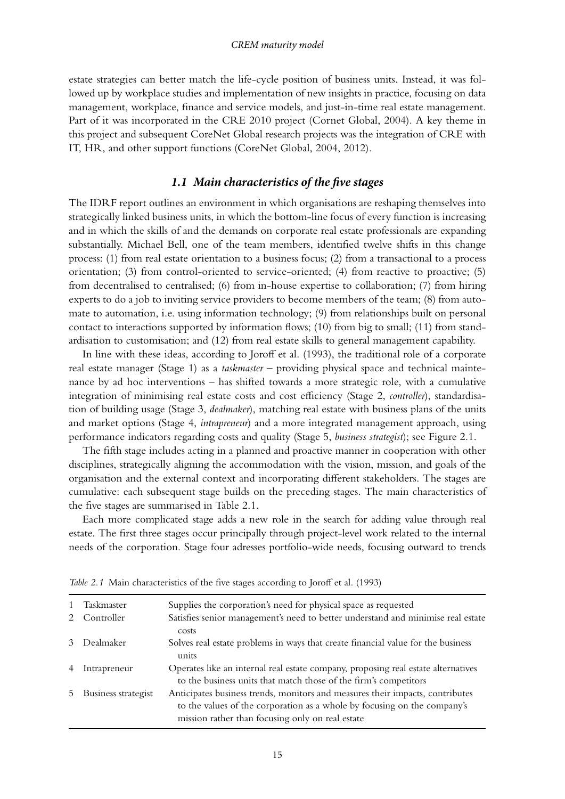#### *CREM maturity model*

estate strategies can better match the life-cycle position of business units. Instead, it was followed up by workplace studies and implementation of new insights in practice, focusing on data management, workplace, finance and service models, and just-in-time real estate management. Part of it was incorporated in the CRE 2010 project (Cornet Global, 2004). A key theme in this project and subsequent CoreNet Global research projects was the integration of CRE with IT, HR, and other support functions (CoreNet Global, 2004, 2012).

#### *1.1 Main characteristics of the five stages*

The IDRF report outlines an environment in which organisations are reshaping themselves into strategically linked business units, in which the bottom-line focus of every function is increasing and in which the skills of and the demands on corporate real estate professionals are expanding substantially. Michael Bell, one of the team members, identified twelve shifts in this change process: (1) from real estate orientation to a business focus; (2) from a transactional to a process orientation; (3) from control-oriented to service-oriented; (4) from reactive to proactive; (5) from decentralised to centralised; (6) from in-house expertise to collaboration; (7) from hiring experts to do a job to inviting service providers to become members of the team; (8) from automate to automation, i.e. using information technology; (9) from relationships built on personal contact to interactions supported by information flows; (10) from big to small; (11) from standardisation to customisation; and (12) from real estate skills to general management capability.

In line with these ideas, according to Joroff et al. (1993), the traditional role of a corporate real estate manager (Stage 1) as a *taskmaster –* providing physical space and technical maintenance by ad hoc interventions – has shifted towards a more strategic role, with a cumulative integration of minimising real estate costs and cost efficiency (Stage 2, *controller*), standardisation of building usage (Stage 3, *dealmaker*), matching real estate with business plans of the units and market options (Stage 4, *intrapreneur*) and a more integrated management approach, using performance indicators regarding costs and quality (Stage 5, *business strategist*); see Figure 2.1.

The fifth stage includes acting in a planned and proactive manner in cooperation with other disciplines, strategically aligning the accommodation with the vision, mission, and goals of the organisation and the external context and incorporating different stakeholders. The stages are cumulative: each subsequent stage builds on the preceding stages. The main characteristics of the five stages are summarised in Table 2.1.

Each more complicated stage adds a new role in the search for adding value through real estate. The first three stages occur principally through project-level work related to the internal needs of the corporation. Stage four adresses portfolio-wide needs, focusing outward to trends

| $\mathbf{1}$ | Taskmaster          | Supplies the corporation's need for physical space as requested                                                                                                                                               |
|--------------|---------------------|---------------------------------------------------------------------------------------------------------------------------------------------------------------------------------------------------------------|
| $2^{\circ}$  | Controller          | Satisfies senior management's need to better understand and minimise real estate                                                                                                                              |
|              |                     | costs                                                                                                                                                                                                         |
| 3            | Dealmaker           | Solves real estate problems in ways that create financial value for the business<br>units                                                                                                                     |
|              | Intrapreneur        | Operates like an internal real estate company, proposing real estate alternatives<br>to the business units that match those of the firm's competitors                                                         |
| 5.           | Business strategist | Anticipates business trends, monitors and measures their impacts, contributes<br>to the values of the corporation as a whole by focusing on the company's<br>mission rather than focusing only on real estate |

*Table 2.1* Main characteristics of the five stages according to Joroff et al. (1993)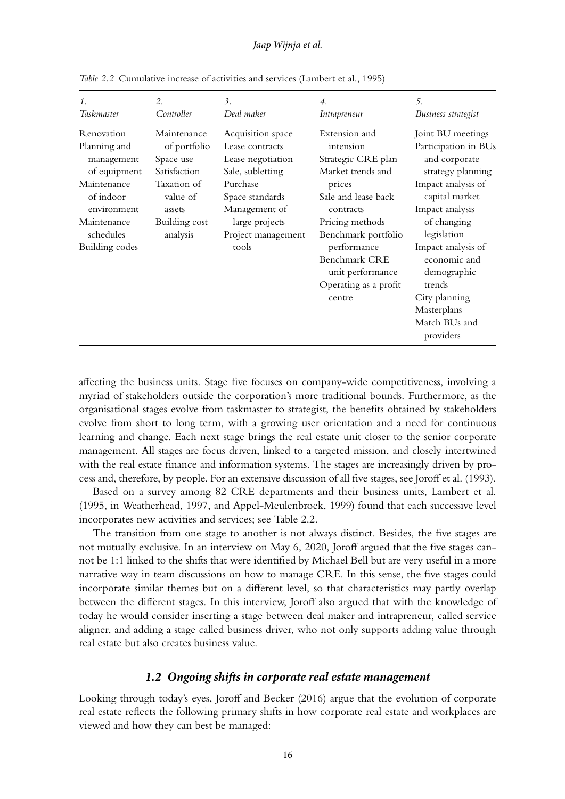| 1.                                                                                                                                                 | 2.                                                                                                                         | 3.                                                                                                                                                                             | $\overline{4}$ .                                                                                                                                                                                                                                     | .5.                                                                                                                                                                                                                                                                                                   |
|----------------------------------------------------------------------------------------------------------------------------------------------------|----------------------------------------------------------------------------------------------------------------------------|--------------------------------------------------------------------------------------------------------------------------------------------------------------------------------|------------------------------------------------------------------------------------------------------------------------------------------------------------------------------------------------------------------------------------------------------|-------------------------------------------------------------------------------------------------------------------------------------------------------------------------------------------------------------------------------------------------------------------------------------------------------|
| Taskmaster                                                                                                                                         | Controller                                                                                                                 | Deal maker                                                                                                                                                                     | <i>Intrapreneur</i>                                                                                                                                                                                                                                  | Business strategist                                                                                                                                                                                                                                                                                   |
| R enovation<br>Planning and<br>management<br>of equipment<br>Maintenance<br>of indoor<br>environment<br>Maintenance<br>schedules<br>Building codes | Maintenance<br>of portfolio<br>Space use<br>Satisfaction<br>Taxation of<br>value of<br>assets<br>Building cost<br>analysis | Acquisition space<br>Lease contracts<br>Lease negotiation<br>Sale, subletting<br>Purchase<br>Space standards<br>Management of<br>large projects<br>Project management<br>tools | Extension and<br>intension<br>Strategic CRE plan<br>Market trends and<br>prices<br>Sale and lease back<br>contracts<br>Pricing methods<br>Benchmark portfolio<br>performance<br>Benchmark CRE<br>unit performance<br>Operating as a profit<br>centre | Joint BU meetings<br>Participation in BUs<br>and corporate<br>strategy planning<br>Impact analysis of<br>capital market<br>Impact analysis<br>of changing<br>legislation<br>Impact analysis of<br>economic and<br>demographic<br>trends<br>City planning<br>Masterplans<br>Match BUs and<br>providers |

*Table 2.2* Cumulative increase of activities and services (Lambert et al., 1995)

affecting the business units. Stage five focuses on company-wide competitiveness, involving a myriad of stakeholders outside the corporation's more traditional bounds. Furthermore, as the organisational stages evolve from taskmaster to strategist, the benefits obtained by stakeholders evolve from short to long term, with a growing user orientation and a need for continuous learning and change. Each next stage brings the real estate unit closer to the senior corporate management. All stages are focus driven, linked to a targeted mission, and closely intertwined with the real estate finance and information systems. The stages are increasingly driven by process and, therefore, by people. For an extensive discussion of all five stages, see Joroff et al. (1993).

Based on a survey among 82 CRE departments and their business units, Lambert et al. (1995, in Weatherhead, 1997, and Appel-Meulenbroek, 1999) found that each successive level incorporates new activities and services; see Table 2.2.

The transition from one stage to another is not always distinct. Besides, the five stages are not mutually exclusive. In an interview on May 6, 2020, Joroff argued that the five stages cannot be 1:1 linked to the shifts that were identified by Michael Bell but are very useful in a more narrative way in team discussions on how to manage CRE. In this sense, the five stages could incorporate similar themes but on a different level, so that characteristics may partly overlap between the different stages. In this interview, Joroff also argued that with the knowledge of today he would consider inserting a stage between deal maker and intrapreneur, called service aligner, and adding a stage called business driver, who not only supports adding value through real estate but also creates business value.

# *1.2 Ongoing shifts in corporate real estate management*

Looking through today's eyes, Joroff and Becker (2016) argue that the evolution of corporate real estate reflects the following primary shifts in how corporate real estate and workplaces are viewed and how they can best be managed: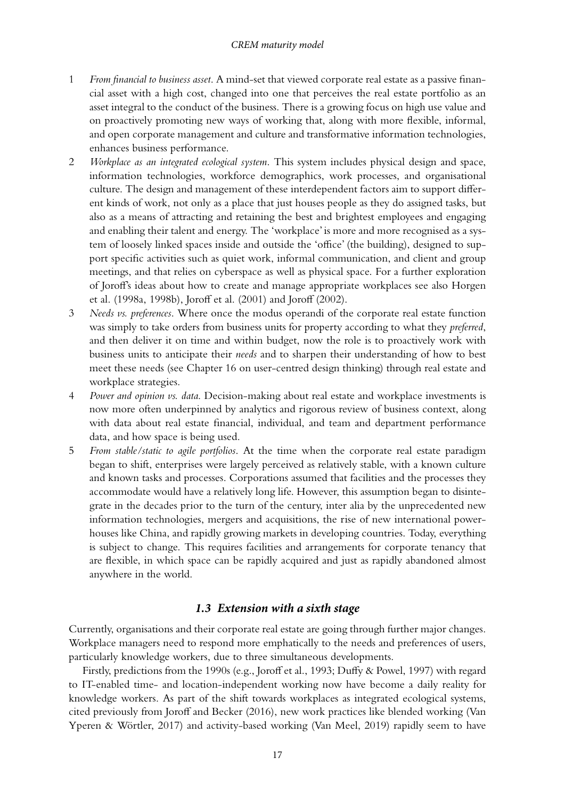#### *CREM maturity model*

- 1 *From financial to business asset*. A mind-set that viewed corporate real estate as a passive financial asset with a high cost, changed into one that perceives the real estate portfolio as an asset integral to the conduct of the business. There is a growing focus on high use value and on proactively promoting new ways of working that, along with more flexible, informal, and open corporate management and culture and transformative information technologies, enhances business performance.
- 2 *Workplace as an integrated ecological system*. This system includes physical design and space, information technologies, workforce demographics, work processes, and organisational culture. The design and management of these interdependent factors aim to support different kinds of work, not only as a place that just houses people as they do assigned tasks, but also as a means of attracting and retaining the best and brightest employees and engaging and enabling their talent and energy. The 'workplace' is more and more recognised as a system of loosely linked spaces inside and outside the 'office' (the building), designed to support specific activities such as quiet work, informal communication, and client and group meetings, and that relies on cyberspace as well as physical space. For a further exploration of Joroff's ideas about how to create and manage appropriate workplaces see also Horgen et al. (1998a, 1998b), Joroff et al. (2001) and Joroff (2002).
- 3 *Needs vs. preferences*. Where once the modus operandi of the corporate real estate function was simply to take orders from business units for property according to what they *preferred*, and then deliver it on time and within budget, now the role is to proactively work with business units to anticipate their *needs* and to sharpen their understanding of how to best meet these needs (see Chapter 16 on user-centred design thinking) through real estate and workplace strategies.
- 4 *Power and opinion vs. data*. Decision-making about real estate and workplace investments is now more often underpinned by analytics and rigorous review of business context, along with data about real estate financial, individual, and team and department performance data, and how space is being used.
- 5 *From stable/static to agile portfolios*. At the time when the corporate real estate paradigm began to shift, enterprises were largely perceived as relatively stable, with a known culture and known tasks and processes. Corporations assumed that facilities and the processes they accommodate would have a relatively long life. However, this assumption began to disintegrate in the decades prior to the turn of the century, inter alia by the unprecedented new information technologies, mergers and acquisitions, the rise of new international powerhouses like China, and rapidly growing markets in developing countries. Today, everything is subject to change. This requires facilities and arrangements for corporate tenancy that are flexible, in which space can be rapidly acquired and just as rapidly abandoned almost anywhere in the world.

# *1.3 Extension with a sixth stage*

Currently, organisations and their corporate real estate are going through further major changes. Workplace managers need to respond more emphatically to the needs and preferences of users, particularly knowledge workers, due to three simultaneous developments.

Firstly, predictions from the 1990s (e.g., Joroff et al., 1993; Duffy & Powel, 1997) with regard to IT-enabled time- and location-independent working now have become a daily reality for knowledge workers. As part of the shift towards workplaces as integrated ecological systems, cited previously from Joroff and Becker (2016), new work practices like blended working (Van Yperen & Wörtler, 2017) and activity-based working (Van Meel, 2019) rapidly seem to have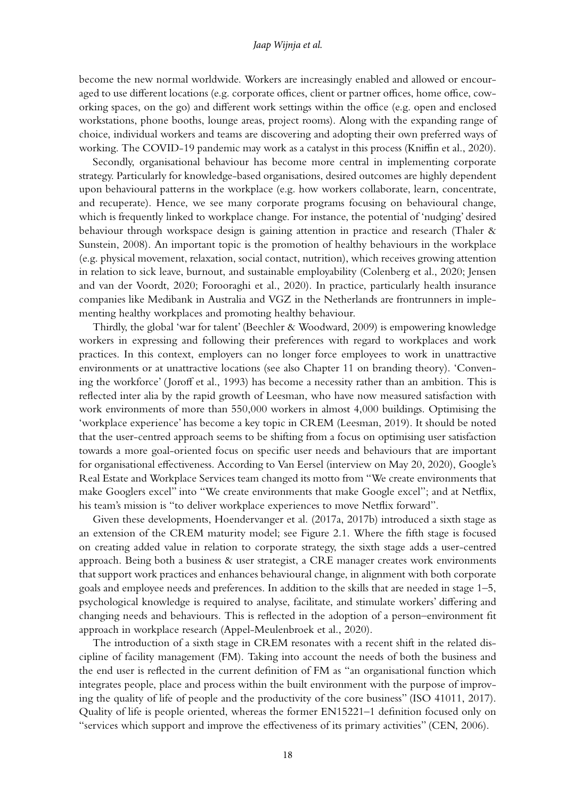#### *Jaap Wijnja et al.*

become the new normal worldwide. Workers are increasingly enabled and allowed or encouraged to use different locations (e.g. corporate offices, client or partner offices, home office, coworking spaces, on the go) and different work settings within the office (e.g. open and enclosed workstations, phone booths, lounge areas, project rooms). Along with the expanding range of choice, individual workers and teams are discovering and adopting their own preferred ways of working. The COVID-19 pandemic may work as a catalyst in this process (Kniffin et al., 2020).

Secondly, organisational behaviour has become more central in implementing corporate strategy. Particularly for knowledge-based organisations, desired outcomes are highly dependent upon behavioural patterns in the workplace (e.g. how workers collaborate, learn, concentrate, and recuperate). Hence, we see many corporate programs focusing on behavioural change, which is frequently linked to workplace change. For instance, the potential of 'nudging' desired behaviour through workspace design is gaining attention in practice and research (Thaler & Sunstein, 2008). An important topic is the promotion of healthy behaviours in the workplace (e.g. physical movement, relaxation, social contact, nutrition), which receives growing attention in relation to sick leave, burnout, and sustainable employability (Colenberg et al., 2020; Jensen and van der Voordt, 2020; Forooraghi et al., 2020). In practice, particularly health insurance companies like Medibank in Australia and VGZ in the Netherlands are frontrunners in implementing healthy workplaces and promoting healthy behaviour.

Thirdly, the global 'war for talent' (Beechler & Woodward, 2009) is empowering knowledge workers in expressing and following their preferences with regard to workplaces and work practices. In this context, employers can no longer force employees to work in unattractive environments or at unattractive locations (see also Chapter 11 on branding theory). 'Convening the workforce' (Joroff et al., 1993) has become a necessity rather than an ambition. This is reflected inter alia by the rapid growth of Leesman, who have now measured satisfaction with work environments of more than 550,000 workers in almost 4,000 buildings. Optimising the 'workplace experience' has become a key topic in CREM (Leesman, 2019). It should be noted that the user-centred approach seems to be shifting from a focus on optimising user satisfaction towards a more goal-oriented focus on specific user needs and behaviours that are important for organisational effectiveness. According to Van Eersel (interview on May 20, 2020), Google's Real Estate and Workplace Services team changed its motto from "We create environments that make Googlers excel" into "We create environments that make Google excel"; and at Netflix, his team's mission is "to deliver workplace experiences to move Netflix forward".

Given these developments, Hoendervanger et al. (2017a, 2017b) introduced a sixth stage as an extension of the CREM maturity model; see Figure 2.1. Where the fifth stage is focused on creating added value in relation to corporate strategy, the sixth stage adds a user-centred approach. Being both a business & user strategist, a CRE manager creates work environments that support work practices and enhances behavioural change, in alignment with both corporate goals and employee needs and preferences. In addition to the skills that are needed in stage 1–5, psychological knowledge is required to analyse, facilitate, and stimulate workers' differing and changing needs and behaviours. This is reflected in the adoption of a person–environment fit approach in workplace research (Appel-Meulenbroek et al., 2020).

The introduction of a sixth stage in CREM resonates with a recent shift in the related discipline of facility management (FM). Taking into account the needs of both the business and the end user is reflected in the current definition of FM as "an organisational function which integrates people, place and process within the built environment with the purpose of improving the quality of life of people and the productivity of the core business" (ISO 41011, 2017). Quality of life is people oriented, whereas the former EN15221–1 definition focused only on "services which support and improve the effectiveness of its primary activities" (CEN, 2006).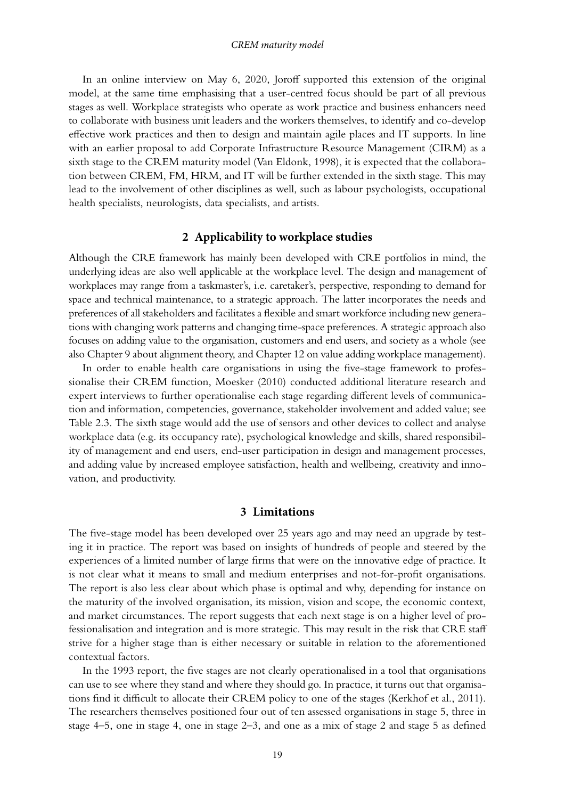#### *CREM maturity model*

In an online interview on May 6, 2020, Joroff supported this extension of the original model, at the same time emphasising that a user-centred focus should be part of all previous stages as well. Workplace strategists who operate as work practice and business enhancers need to collaborate with business unit leaders and the workers themselves, to identify and co-develop effective work practices and then to design and maintain agile places and IT supports. In line with an earlier proposal to add Corporate Infrastructure Resource Management (CIRM) as a sixth stage to the CREM maturity model (Van Eldonk, 1998), it is expected that the collaboration between CREM, FM, HRM, and IT will be further extended in the sixth stage. This may lead to the involvement of other disciplines as well, such as labour psychologists, occupational health specialists, neurologists, data specialists, and artists.

# **2 Applicability to workplace studies**

Although the CRE framework has mainly been developed with CRE portfolios in mind, the underlying ideas are also well applicable at the workplace level. The design and management of workplaces may range from a taskmaster's, i.e. caretaker's, perspective, responding to demand for space and technical maintenance, to a strategic approach. The latter incorporates the needs and preferences of all stakeholders and facilitates a flexible and smart workforce including new generations with changing work patterns and changing time-space preferences. A strategic approach also focuses on adding value to the organisation, customers and end users, and society as a whole (see also Chapter 9 about alignment theory, and Chapter 12 on value adding workplace management).

In order to enable health care organisations in using the five-stage framework to professionalise their CREM function, Moesker (2010) conducted additional literature research and expert interviews to further operationalise each stage regarding different levels of communication and information, competencies, governance, stakeholder involvement and added value; see Table 2.3. The sixth stage would add the use of sensors and other devices to collect and analyse workplace data (e.g. its occupancy rate), psychological knowledge and skills, shared responsibility of management and end users, end-user participation in design and management processes, and adding value by increased employee satisfaction, health and wellbeing, creativity and innovation, and productivity.

#### **3 Limitations**

The five-stage model has been developed over 25 years ago and may need an upgrade by testing it in practice. The report was based on insights of hundreds of people and steered by the experiences of a limited number of large firms that were on the innovative edge of practice. It is not clear what it means to small and medium enterprises and not-for-profit organisations. The report is also less clear about which phase is optimal and why, depending for instance on the maturity of the involved organisation, its mission, vision and scope, the economic context, and market circumstances. The report suggests that each next stage is on a higher level of professionalisation and integration and is more strategic. This may result in the risk that CRE staff strive for a higher stage than is either necessary or suitable in relation to the aforementioned contextual factors.

In the 1993 report, the five stages are not clearly operationalised in a tool that organisations can use to see where they stand and where they should go. In practice, it turns out that organisations find it difficult to allocate their CREM policy to one of the stages (Kerkhof et al., 2011). The researchers themselves positioned four out of ten assessed organisations in stage 5, three in stage 4–5, one in stage 4, one in stage 2–3, and one as a mix of stage 2 and stage 5 as defined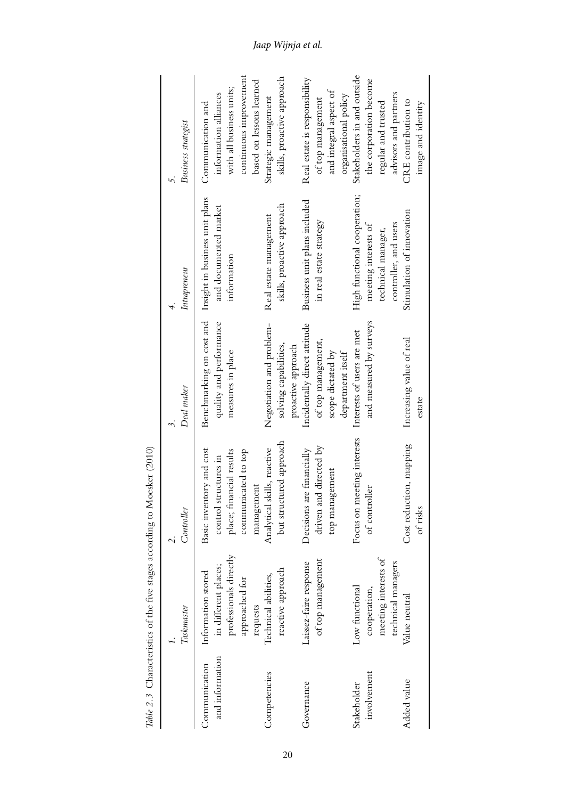|                                  | Taskmaster                                                                             | Controller                                                                                           | Deal maker                                                                                   |                                                                                                     |                                                                                                       |
|----------------------------------|----------------------------------------------------------------------------------------|------------------------------------------------------------------------------------------------------|----------------------------------------------------------------------------------------------|-----------------------------------------------------------------------------------------------------|-------------------------------------------------------------------------------------------------------|
|                                  |                                                                                        |                                                                                                      |                                                                                              | Intrapreneur                                                                                        | <b>Business</b> strategist                                                                            |
| and information<br>Communication | professionals directly<br>in different places;<br>Information stored<br>approached for | Basic inventory and cost<br>place; financial results<br>communicated to top<br>control structures in | Benchmarking on cost and<br>quality and performance<br>measures in place                     | Insight in business unit plans<br>and documented market<br>information                              | with all business units;<br>information alliances<br>Communication and                                |
|                                  | requests                                                                               | management                                                                                           |                                                                                              |                                                                                                     | continuous improvement<br>based on lessons learned                                                    |
| Competencies                     | reactive approach<br>Technical abilities,                                              | but structured approach<br>Analytical skills, reactive                                               | Negotiation and problem-<br>solving capabilities,<br>proactive approach                      | skills, proactive approach<br>Real estate management                                                | skills, proactive approach<br>Strategic management                                                    |
| Governance                       | of top management<br>Laissez-faire response                                            | driven and directed by<br>Decisions are financially<br>top management                                | Incidentally direct attitude<br>of top management,<br>scope dictated by<br>department itself | Business unit plans included<br>in real estate strategy                                             | Real estate is responsibility<br>and integral aspect of<br>organisational policy<br>of top management |
| involvement<br>Stakeholder       | meeting interests of<br>technical managers<br>Low functional<br>cooperation,           | Focus on meeting interests<br>of controller                                                          | and measured by surveys<br>Interests of users are met                                        | High functional cooperation;<br>controller, and users<br>meeting interests of<br>technical manager, | Stakeholders in and outside<br>the corporation become<br>advisors and partners<br>regular and trusted |
| Added value                      | Value neutral                                                                          | Cost reduction, mapping<br>of risks                                                                  | Increasing value of real<br>estate                                                           | Stimulation of innovation                                                                           | CRE contribution to<br>image and identity                                                             |

Table 2.3 Characteristics of the five stages according to Moesker (2010) *Table 2.3* Characteristics of the five stages according to Moesker (2010)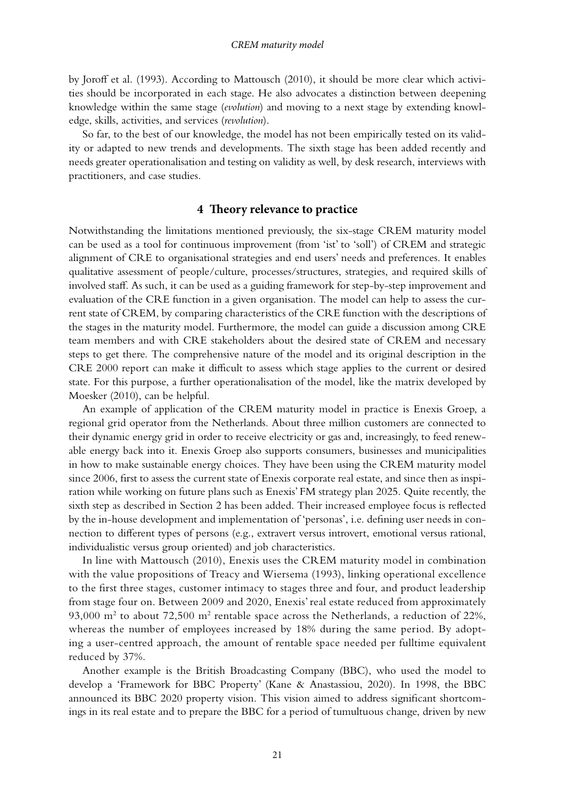by Joroff et al. (1993). According to Mattousch (2010), it should be more clear which activities should be incorporated in each stage. He also advocates a distinction between deepening knowledge within the same stage (*evolution*) and moving to a next stage by extending knowledge, skills, activities, and services (*revolution*).

So far, to the best of our knowledge, the model has not been empirically tested on its validity or adapted to new trends and developments. The sixth stage has been added recently and needs greater operationalisation and testing on validity as well, by desk research, interviews with practitioners, and case studies.

# **4 Theory relevance to practice**

Notwithstanding the limitations mentioned previously, the six-stage CREM maturity model can be used as a tool for continuous improvement (from 'ist' to 'soll') of CREM and strategic alignment of CRE to organisational strategies and end users' needs and preferences. It enables qualitative assessment of people/culture, processes/structures, strategies, and required skills of involved staff. As such, it can be used as a guiding framework for step-by-step improvement and evaluation of the CRE function in a given organisation. The model can help to assess the current state of CREM, by comparing characteristics of the CRE function with the descriptions of the stages in the maturity model. Furthermore, the model can guide a discussion among CRE team members and with CRE stakeholders about the desired state of CREM and necessary steps to get there. The comprehensive nature of the model and its original description in the CRE 2000 report can make it difficult to assess which stage applies to the current or desired state. For this purpose, a further operationalisation of the model, like the matrix developed by Moesker (2010), can be helpful.

An example of application of the CREM maturity model in practice is Enexis Groep, a regional grid operator from the Netherlands. About three million customers are connected to their dynamic energy grid in order to receive electricity or gas and, increasingly, to feed renewable energy back into it. Enexis Groep also supports consumers, businesses and municipalities in how to make sustainable energy choices. They have been using the CREM maturity model since 2006, first to assess the current state of Enexis corporate real estate, and since then as inspiration while working on future plans such as Enexis' FM strategy plan 2025. Quite recently, the sixth step as described in Section 2 has been added. Their increased employee focus is reflected by the in-house development and implementation of 'personas', i.e. defining user needs in connection to different types of persons (e.g., extravert versus introvert, emotional versus rational, individualistic versus group oriented) and job characteristics.

In line with Mattousch (2010), Enexis uses the CREM maturity model in combination with the value propositions of Treacy and Wiersema (1993), linking operational excellence to the first three stages, customer intimacy to stages three and four, and product leadership from stage four on. Between 2009 and 2020, Enexis' real estate reduced from approximately  $93,000$  m<sup>2</sup> to about 72,500 m<sup>2</sup> rentable space across the Netherlands, a reduction of 22%, whereas the number of employees increased by 18% during the same period. By adopting a user-centred approach, the amount of rentable space needed per fulltime equivalent reduced by 37%.

Another example is the British Broadcasting Company (BBC), who used the model to develop a 'Framework for BBC Property' (Kane & Anastassiou, 2020). In 1998, the BBC announced its BBC 2020 property vision. This vision aimed to address significant shortcomings in its real estate and to prepare the BBC for a period of tumultuous change, driven by new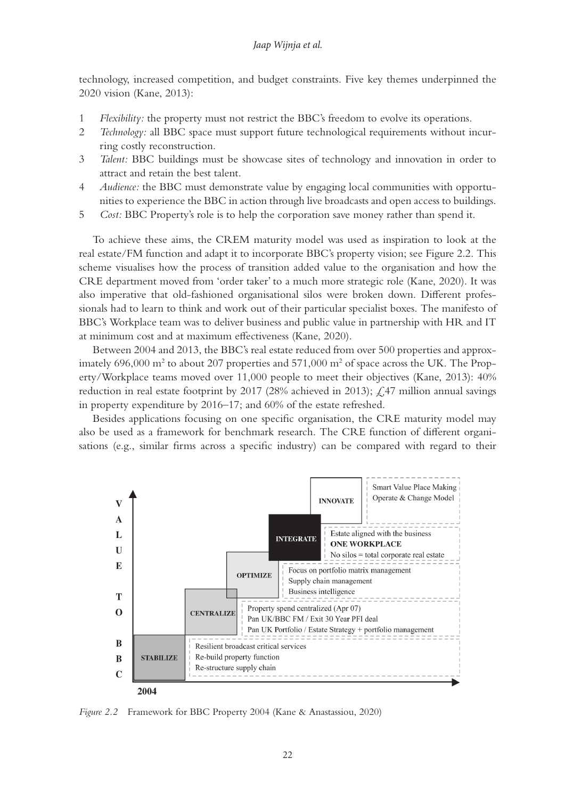technology, increased competition, and budget constraints. Five key themes underpinned the 2020 vision (Kane, 2013):

- 1 *Flexibility:* the property must not restrict the BBC's freedom to evolve its operations.
- 2 *Technology:* all BBC space must support future technological requirements without incurring costly reconstruction.
- 3 *Talent:* BBC buildings must be showcase sites of technology and innovation in order to attract and retain the best talent.
- 4 *Audience:* the BBC must demonstrate value by engaging local communities with opportunities to experience the BBC in action through live broadcasts and open access to buildings.
- 5 *Cost:* BBC Property's role is to help the corporation save money rather than spend it.

To achieve these aims, the CREM maturity model was used as inspiration to look at the real estate/FM function and adapt it to incorporate BBC's property vision; see Figure 2.2. This scheme visualises how the process of transition added value to the organisation and how the CRE department moved from 'order taker' to a much more strategic role (Kane, 2020). It was also imperative that old-fashioned organisational silos were broken down. Different professionals had to learn to think and work out of their particular specialist boxes. The manifesto of BBC's Workplace team was to deliver business and public value in partnership with HR and IT at minimum cost and at maximum effectiveness (Kane, 2020).

Between 2004 and 2013, the BBC's real estate reduced from over 500 properties and approximately 696,000  $\text{m}^2$  to about 207 properties and 571,000  $\text{m}^2$  of space across the UK. The Property/Workplace teams moved over 11,000 people to meet their objectives (Kane, 2013): 40% reduction in real estate footprint by 2017 (28% achieved in 2013);  $\angle$  47 million annual savings in property expenditure by 2016–17; and 60% of the estate refreshed.

Besides applications focusing on one specific organisation, the CRE maturity model may also be used as a framework for benchmark research. The CRE function of different organisations (e.g., similar firms across a specific industry) can be compared with regard to their



*Figure 2.2* Framework for BBC Property 2004 (Kane & Anastassiou, 2020)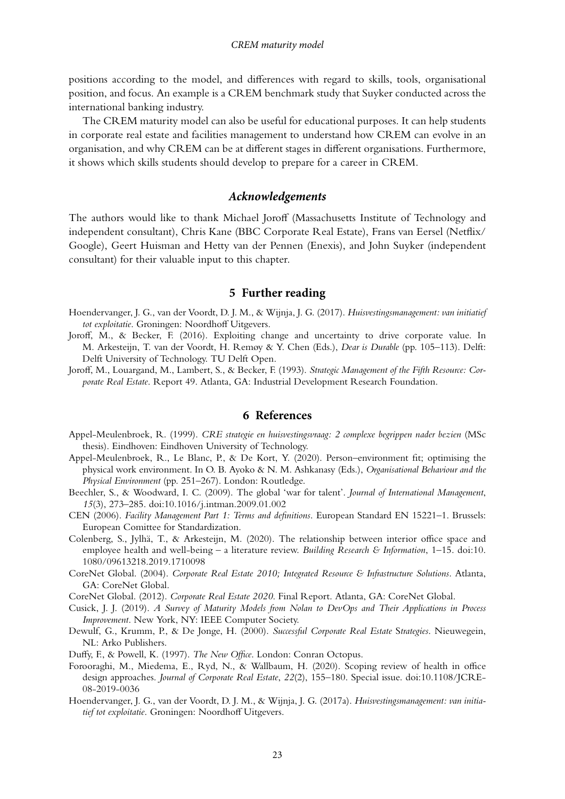positions according to the model, and differences with regard to skills, tools, organisational position, and focus. An example is a CREM benchmark study that Suyker conducted across the international banking industry.

The CREM maturity model can also be useful for educational purposes. It can help students in corporate real estate and facilities management to understand how CREM can evolve in an organisation, and why CREM can be at different stages in different organisations. Furthermore, it shows which skills students should develop to prepare for a career in CREM.

# *Acknowledgements*

The authors would like to thank Michael Joroff (Massachusetts Institute of Technology and independent consultant), Chris Kane (BBC Corporate Real Estate), Frans van Eersel (Netflix/ Google), Geert Huisman and Hetty van der Pennen (Enexis), and John Suyker (independent consultant) for their valuable input to this chapter.

# **5 Further reading**

- Hoendervanger, J. G., van der Voordt, D. J. M., & Wijnja, J. G. (2017). *Huisvestingsmanagement: van initiatief tot exploitatie*. Groningen: Noordhoff Uitgevers.
- Joroff, M., & Becker, F. (2016). Exploiting change and uncertainty to drive corporate value. In M. Arkesteijn, T. van der Voordt, H. Remøy & Y. Chen (Eds.), *Dear is Durable* (pp. 105–113). Delft: Delft University of Technology. TU Delft Open.
- Joroff, M., Louargand, M., Lambert, S., & Becker, F. (1993). *Strategic Management of the Fifth Resource: Corporate Real Estate*. Report 49. Atlanta, GA: Industrial Development Research Foundation.

# **6 References**

- Appel-Meulenbroek, R. (1999). *CRE strategie en huisvestingsvraag: 2 complexe begrippen nader bezien* (MSc thesis). Eindhoven: Eindhoven University of Technology.
- Appel-Meulenbroek, R., Le Blanc, P., & De Kort, Y. (2020). Person–environment fit; optimising the physical work environment. In O. B. Ayoko & N. M. Ashkanasy (Eds.), *Organisational Behaviour and the Physical Environment* (pp. 251–267). London: Routledge.
- Beechler, S., & Woodward, I. C. (2009). The global 'war for talent'. *Journal of International Management*, *15*(3), 273–285. doi[:10.1016/j.intman.2009.01.002](http://dx.doi.org/10.1016/j.intman.2009.01.002)
- CEN (2006). *Facility Management Part 1: Terms and definitions*. European Standard EN 15221–1. Brussels: European Comittee for Standardization.
- Colenberg, S., Jylhä, T., & Arkesteijn, M. (2020). The relationship between interior office space and employee health and well-being – a literature review. *Building Research & Information*, 1–15. doi[:10.](http://dx.doi.org/10.1080/09613218.2019.1710098) [1080/09613218.2019.1710098](http://dx.doi.org/10.1080/09613218.2019.1710098)
- CoreNet Global. (2004). *Corporate Real Estate 2010; Integrated Resource & Infrastructure Solutions*. Atlanta, GA: CoreNet Global.
- CoreNet Global. (2012). *Corporate Real Estate 2020*. Final Report. Atlanta, GA: CoreNet Global.
- Cusick, J. J. (2019). *A Survey of Maturity Models from Nolan to DevOps and Their Applications in Process Improvement*. New York, NY: IEEE Computer Society.
- Dewulf, G., Krumm, P., & De Jonge, H. (2000). *Successful Corporate Real Estate* S*trategies*. Nieuwegein, NL: Arko Publishers.
- Duffy, F., & Powell, K. (1997). *The New Office*. London: Conran Octopus.
- Forooraghi, M., Miedema, E., Ryd, N., & Wallbaum, H. (2020). Scoping review of health in office design approaches. *Journal of Corporate Real Estate*, *22*(2), 155–180. Special issue. doi:[10.1108/JCRE-](http://dx.doi.org/10.1108/JCRE-08-2019-0036)[08-2019-0036](http://dx.doi.org/10.1108/JCRE-08-2019-0036)
- Hoendervanger, J. G., van der Voordt, D. J. M., & Wijnja, J. G. (2017a). *Huisvestingsmanagement: van initiatief tot exploitatie*. Groningen: Noordhoff Uitgevers.